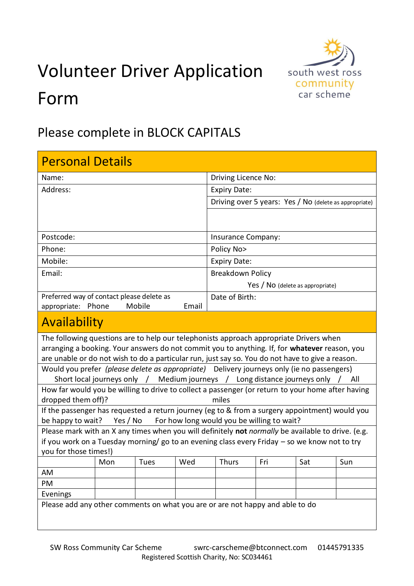## Volunteer Driver Application Form



## Please complete in BLOCK CAPITALS

| <b>Personal Details</b>                                                                                                                                                                                                                                                                     |     |      |     |                                                        |     |     |     |
|---------------------------------------------------------------------------------------------------------------------------------------------------------------------------------------------------------------------------------------------------------------------------------------------|-----|------|-----|--------------------------------------------------------|-----|-----|-----|
| Name:                                                                                                                                                                                                                                                                                       |     |      |     | Driving Licence No:                                    |     |     |     |
| Address:                                                                                                                                                                                                                                                                                    |     |      |     | <b>Expiry Date:</b>                                    |     |     |     |
|                                                                                                                                                                                                                                                                                             |     |      |     | Driving over 5 years: Yes / No (delete as appropriate) |     |     |     |
|                                                                                                                                                                                                                                                                                             |     |      |     |                                                        |     |     |     |
| Postcode:                                                                                                                                                                                                                                                                                   |     |      |     | <b>Insurance Company:</b>                              |     |     |     |
| Phone:                                                                                                                                                                                                                                                                                      |     |      |     | Policy No>                                             |     |     |     |
| Mobile:                                                                                                                                                                                                                                                                                     |     |      |     | <b>Expiry Date:</b>                                    |     |     |     |
| Email:                                                                                                                                                                                                                                                                                      |     |      |     | <b>Breakdown Policy</b>                                |     |     |     |
|                                                                                                                                                                                                                                                                                             |     |      |     | Yes / No (delete as appropriate)                       |     |     |     |
| Preferred way of contact please delete as                                                                                                                                                                                                                                                   |     |      |     | Date of Birth:                                         |     |     |     |
| appropriate: Phone<br>Mobile<br>Email                                                                                                                                                                                                                                                       |     |      |     |                                                        |     |     |     |
| Availability                                                                                                                                                                                                                                                                                |     |      |     |                                                        |     |     |     |
| The following questions are to help our telephonists approach appropriate Drivers when<br>arranging a booking. Your answers do not commit you to anything. If, for whatever reason, you<br>are unable or do not wish to do a particular run, just say so. You do not have to give a reason. |     |      |     |                                                        |     |     |     |
| Would you prefer (please delete as appropriate) Delivery journeys only (ie no passengers)                                                                                                                                                                                                   |     |      |     |                                                        |     |     |     |
| Short local journeys only / Medium journeys / Long distance journeys only /<br>All                                                                                                                                                                                                          |     |      |     |                                                        |     |     |     |
| How far would you be willing to drive to collect a passenger (or return to your home after having                                                                                                                                                                                           |     |      |     |                                                        |     |     |     |
| miles<br>dropped them off)?                                                                                                                                                                                                                                                                 |     |      |     |                                                        |     |     |     |
| If the passenger has requested a return journey (eg to & from a surgery appointment) would you                                                                                                                                                                                              |     |      |     |                                                        |     |     |     |
| For how long would you be willing to wait?<br>be happy to wait?<br>Yes / No<br>Please mark with an X any times when you will definitely not normally be available to drive. (e.g.                                                                                                           |     |      |     |                                                        |     |     |     |
| if you work on a Tuesday morning/ go to an evening class every Friday - so we know not to try                                                                                                                                                                                               |     |      |     |                                                        |     |     |     |
| you for those times!)                                                                                                                                                                                                                                                                       |     |      |     |                                                        |     |     |     |
|                                                                                                                                                                                                                                                                                             | Mon | Tues | Wed | Thurs                                                  | Fri | Sat | Sun |
| AM                                                                                                                                                                                                                                                                                          |     |      |     |                                                        |     |     |     |
| PM                                                                                                                                                                                                                                                                                          |     |      |     |                                                        |     |     |     |
| Evenings                                                                                                                                                                                                                                                                                    |     |      |     |                                                        |     |     |     |
| Please add any other comments on what you are or are not happy and able to do                                                                                                                                                                                                               |     |      |     |                                                        |     |     |     |